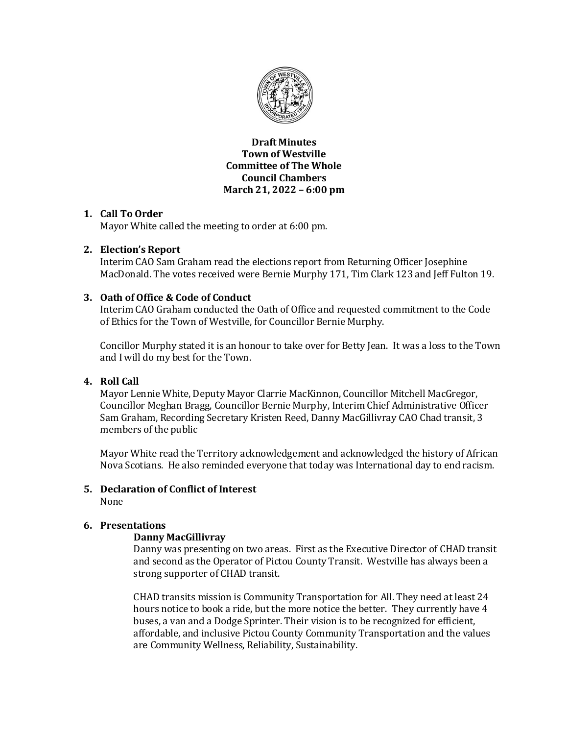

**Draft Minutes Town of Westville Committee of The Whole Council Chambers March 21, 2022 – 6:00 pm**

### **1. Call To Order**

Mayor White called the meeting to order at 6:00 pm.

### **2. Election's Report**

Interim CAO Sam Graham read the elections report from Returning Officer Josephine MacDonald. The votes received were Bernie Murphy 171, Tim Clark 123 and Jeff Fulton 19.

### **3. Oath of Office & Code of Conduct**

Interim CAO Graham conducted the Oath of Office and requested commitment to the Code of Ethics for the Town of Westville, for Councillor Bernie Murphy.

Concillor Murphy stated it is an honour to take over for Betty Jean. It was a loss to the Town and I will do my best for the Town.

## **4. Roll Call**

Mayor Lennie White, Deputy Mayor Clarrie MacKinnon, Councillor Mitchell MacGregor, Councillor Meghan Bragg, Councillor Bernie Murphy, Interim Chief Administrative Officer Sam Graham, Recording Secretary Kristen Reed, Danny MacGillivray CAO Chad transit, 3 members of the public

Mayor White read the Territory acknowledgement and acknowledged the history of African Nova Scotians. He also reminded everyone that today was International day to end racism.

#### **5. Declaration of Conflict of Interest**  None

### **6. Presentations**

### **Danny MacGillivray**

Danny was presenting on two areas. First as the Executive Director of CHAD transit and second as the Operator of Pictou County Transit. Westville has always been a strong supporter of CHAD transit.

CHAD transits mission is Community Transportation for All. They need at least 24 hours notice to book a ride, but the more notice the better. They currently have 4 buses, a van and a Dodge Sprinter. Their vision is to be recognized for efficient, affordable, and inclusive Pictou County Community Transportation and the values are Community Wellness, Reliability, Sustainability.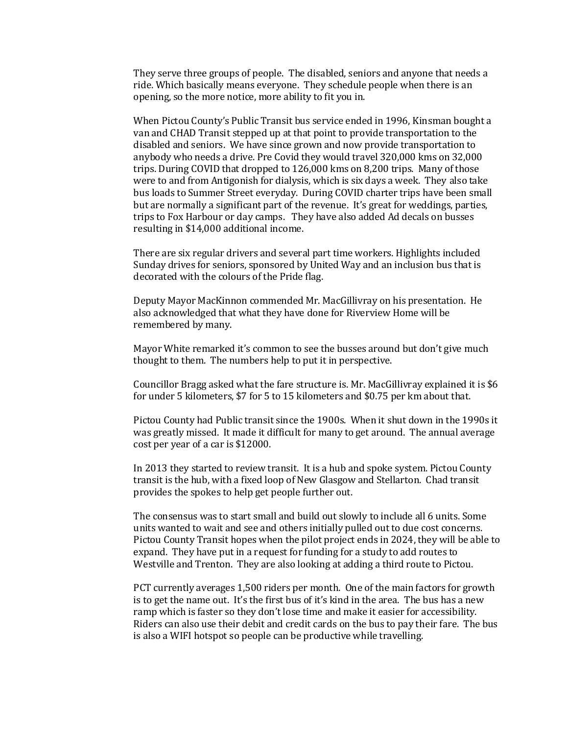They serve three groups of people. The disabled, seniors and anyone that needs a ride. Which basically means everyone. They schedule people when there is an opening, so the more notice, more ability to fit you in.

When Pictou County's Public Transit bus service ended in 1996, Kinsman bought a van and CHAD Transit stepped up at that point to provide transportation to the disabled and seniors. We have since grown and now provide transportation to anybody who needs a drive. Pre Covid they would travel 320,000 kms on 32,000 trips. During COVID that dropped to 126,000 kms on 8,200 trips. Many of those were to and from Antigonish for dialysis, which is six days a week. They also take bus loads to Summer Street everyday. During COVID charter trips have been small but are normally a significant part of the revenue. It's great for weddings, parties, trips to Fox Harbour or day camps. They have also added Ad decals on busses resulting in \$14,000 additional income.

There are six regular drivers and several part time workers. Highlights included Sunday drives for seniors, sponsored by United Way and an inclusion bus that is decorated with the colours of the Pride flag.

Deputy Mayor MacKinnon commended Mr. MacGillivray on his presentation. He also acknowledged that what they have done for Riverview Home will be remembered by many.

Mayor White remarked it's common to see the busses around but don't give much thought to them. The numbers help to put it in perspective.

Councillor Bragg asked what the fare structure is. Mr. MacGillivray explained it is \$6 for under 5 kilometers, \$7 for 5 to 15 kilometers and \$0.75 per km about that.

Pictou County had Public transit since the 1900s. When it shut down in the 1990s it was greatly missed. It made it difficult for many to get around. The annual average cost per year of a car is \$12000.

In 2013 they started to review transit. It is a hub and spoke system. Pictou County transit is the hub, with a fixed loop of New Glasgow and Stellarton. Chad transit provides the spokes to help get people further out.

The consensus was to start small and build out slowly to include all 6 units. Some units wanted to wait and see and others initially pulled out to due cost concerns. Pictou County Transit hopes when the pilot project ends in 2024, they will be able to expand. They have put in a request for funding for a study to add routes to Westville and Trenton. They are also looking at adding a third route to Pictou.

PCT currently averages 1,500 riders per month. One of the main factors for growth is to get the name out. It's the first bus of it's kind in the area. The bus has a new ramp which is faster so they don't lose time and make it easier for accessibility. Riders can also use their debit and credit cards on the bus to pay their fare. The bus is also a WIFI hotspot so people can be productive while travelling.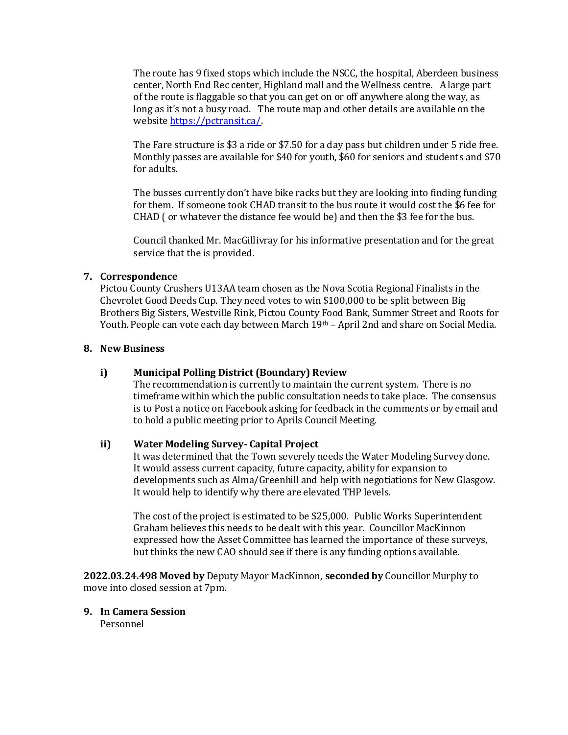The route has 9 fixed stops which include the NSCC, the hospital, Aberdeen business center, North End Rec center, Highland mall and the Wellness centre. A large part of the route is flaggable so that you can get on or off anywhere along the way, as long as it's not a busy road. The route map and other details are available on the websit[e https://pctransit.ca/.](https://pctransit.ca/)

The Fare structure is \$3 a ride or \$7.50 for a day pass but children under 5 ride free. Monthly passes are available for \$40 for youth, \$60 for seniors and students and \$70 for adults.

The busses currently don't have bike racks but they are looking into finding funding for them. If someone took CHAD transit to the bus route it would cost the \$6 fee for CHAD ( or whatever the distance fee would be) and then the \$3 fee for the bus.

Council thanked Mr. MacGillivray for his informative presentation and for the great service that the is provided.

#### **7. Correspondence**

Pictou County Crushers U13AA team chosen as the Nova Scotia Regional Finalists in the Chevrolet Good Deeds Cup. They need votes to win \$100,000 to be split between Big Brothers Big Sisters, Westville Rink, Pictou County Food Bank, Summer Street and Roots for Youth. People can vote each day between March 19<sup>th</sup> – April 2nd and share on Social Media.

#### **8. New Business**

#### **i) Municipal Polling District (Boundary) Review**

The recommendation is currently to maintain the current system. There is no timeframe within which the public consultation needs to take place. The consensus is to Post a notice on Facebook asking for feedback in the comments or by email and to hold a public meeting prior to Aprils Council Meeting.

#### **ii) Water Modeling Survey- Capital Project**

It was determined that the Town severely needs the Water Modeling Survey done. It would assess current capacity, future capacity, ability for expansion to developments such as Alma/Greenhill and help with negotiations for New Glasgow. It would help to identify why there are elevated THP levels.

The cost of the project is estimated to be \$25,000. Public Works Superintendent Graham believes this needs to be dealt with this year. Councillor MacKinnon expressed how the Asset Committee has learned the importance of these surveys, but thinks the new CAO should see if there is any funding options available.

**2022.03.24.498 Moved by** Deputy Mayor MacKinnon, **seconded by** Councillor Murphy to move into closed session at 7pm.

### **9. In Camera Session**

Personnel